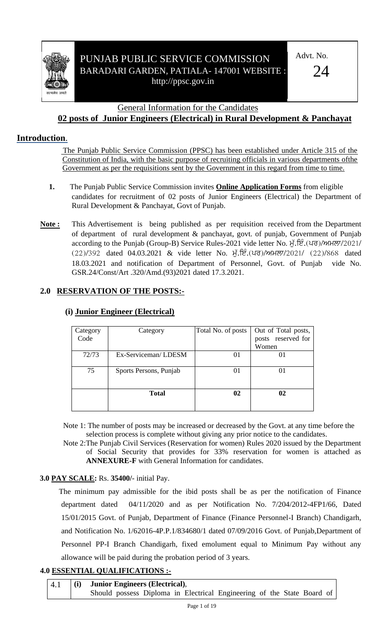

# PUNJAB PUBLIC SERVICE COMMISSION BARADARI GARDEN, PATIALA- 147001 WEBSITE : http://ppsc.gov.in

Advt. No.

 $24$ 

### General Information for the Candidates **02 posts of Junior Engineers (Electrical) in Rural Development & Panchayat**

# **Introduction**.

 The Punjab Public Service Commission (PPSC) has been established under Article 315 of the Constitution of India, with the basic purpose of recruiting officials in various departments ofthe Government as per the requisitions sent by the Government in this regard from time to time.

- **1.** The Punjab Public Service Commission invites **Online Application Forms** from eligible candidates for recruitment of 02 posts of Junior Engineers (Electrical) the Department of Rural Development & Panchayat, Govt of Punjab.
- **Note :** This Advertisement is being published as per requisition received from the Department of department of rural development & panchayat, govt. of punjab, Government of Punjab according to the Punjab (Group-B) Service Rules-2021 vide letter No. ਮੁੱ.ਇੰ. (ਪਰ)/ਅਮਲਾ/2021/  $(22)/392$  dated 04.03.2021 & vide letter No. H. E. (40)/MHAT/2021/  $(22)/868$  dated 18.03.2021 and notification of Department of Personnel, Govt. of Punjab vide No. GSR.24/Const/Art .320/Amd.(93)2021 dated 17.3.2021.

## **2.0 RESERVATION OF THE POSTS:-**

| Category | Category               | Total No. of posts | Out of Total posts, |
|----------|------------------------|--------------------|---------------------|
| Code     |                        |                    | posts reserved for  |
|          |                        |                    | Women               |
| 72/73    | Ex-Serviceman/LDESM    | 01                 |                     |
| 75       | Sports Persons, Punjab | $_{01}$            | 01                  |
|          | <b>Total</b>           | $\mathbf{02}$      | 02                  |

## **(i) Junior Engineer (Electrical)**

Note 1: The number of posts may be increased or decreased by the Govt. at any time before the selection process is complete without giving any prior notice to the candidates.

Note 2:The Punjab Civil Services (Reservation for women) Rules 2020 issued by the Department of Social Security that provides for 33% reservation for women is attached as **ANNEXURE-F** with General Information for candidates.

# **3.0 PAY SCALE:** Rs. **35400/**- initial Pay.

The minimum pay admissible for the ibid posts shall be as per the notification of Finance department dated 04/11/2020 and as per Notification No. 7/204/2012-4FP1/66, Dated 15/01/2015 Govt. of Punjab, Department of Finance (Finance Personnel-I Branch) Chandigarh, and Notification No. 1/62016-4P.P.1/834680/1 dated 07/09/2016 Govt. of Punjab,Department of Personnel PP-I Branch Chandigarh, fixed emolument equal to Minimum Pay without any allowance will be paid during the probation period of 3 years.

## **4.0 ESSENTIAL QUALIFICATIONS :-**

| 4.1 | (i) |  | <b>Junior Engineers (Electrical),</b> |  |                                                                        |  |  |  |
|-----|-----|--|---------------------------------------|--|------------------------------------------------------------------------|--|--|--|
|     |     |  |                                       |  | Should possess Diploma in Electrical Engineering of the State Board of |  |  |  |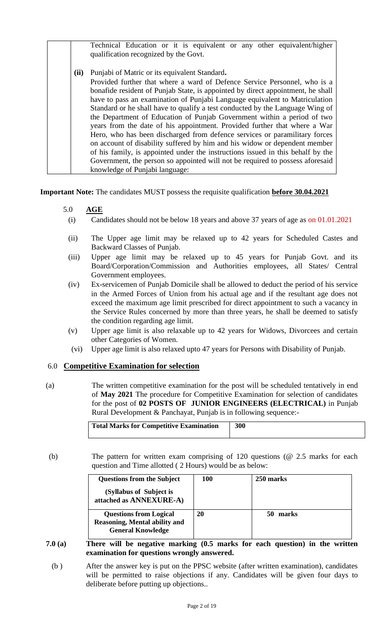|      | Technical Education or it is equivalent or any other equivalent/higher<br>qualification recognized by the Govt.                                                                                                                                                                                                                                                                                                                                                                                                                                                                                                                                                                                                                                                                      |
|------|--------------------------------------------------------------------------------------------------------------------------------------------------------------------------------------------------------------------------------------------------------------------------------------------------------------------------------------------------------------------------------------------------------------------------------------------------------------------------------------------------------------------------------------------------------------------------------------------------------------------------------------------------------------------------------------------------------------------------------------------------------------------------------------|
| (ii) | Punjabi of Matric or its equivalent Standard.<br>Provided further that where a ward of Defence Service Personnel, who is a<br>bonafide resident of Punjab State, is appointed by direct appointment, he shall<br>have to pass an examination of Punjabi Language equivalent to Matriculation<br>Standard or he shall have to qualify a test conducted by the Language Wing of<br>the Department of Education of Punjab Government within a period of two<br>years from the date of his appointment. Provided further that where a War<br>Hero, who has been discharged from defence services or paramilitary forces<br>on account of disability suffered by him and his widow or dependent member<br>of his family, is appointed under the instructions issued in this behalf by the |
|      | Government, the person so appointed will not be required to possess aforesaid<br>knowledge of Punjabi language:                                                                                                                                                                                                                                                                                                                                                                                                                                                                                                                                                                                                                                                                      |

**Important Note:** The candidates MUST possess the requisite qualification **before 30.04.2021**

#### 5.0 **AGE**

- (i) Candidates should not be below 18 years and above 37 years of age as on 01.01.2021
- (ii) The Upper age limit may be relaxed up to 42 years for Scheduled Castes and Backward Classes of Punjab.
- (iii) Upper age limit may be relaxed up to 45 years for Punjab Govt. and its Board/Corporation/Commission and Authorities employees, all States/ Central Government employees.
- (iv) Ex-servicemen of Punjab Domicile shall be allowed to deduct the period of his service in the Armed Forces of Union from his actual age and if the resultant age does not exceed the maximum age limit prescribed for direct appointment to such a vacancy in the Service Rules concerned by more than three years, he shall be deemed to satisfy the condition regarding age limit.
- (v) Upper age limit is also relaxable up to 42 years for Widows, Divorcees and certain other Categories of Women.
- (vi) Upper age limit is also relaxed upto 47 years for Persons with Disability of Punjab.

#### 6.0 **Competitive Examination for selection**

(a) The written competitive examination for the post will be scheduled tentatively in end of **May 2021** The procedure for Competitive Examination for selection of candidates for the post of **02 POSTS OF JUNIOR ENGINEERS (ELECTRICAL)** in Punjab Rural Development & Panchayat, Punjab is in following sequence:-

| Total Marks for Competitive Examination | 300 |
|-----------------------------------------|-----|
|                                         |     |

(b) The pattern for written exam comprising of 120 questions (@ 2.5 marks for each question and Time allotted ( 2 Hours) would be as below:

| <b>Questions from the Subject</b>                                                                 | 100 | 250 marks |
|---------------------------------------------------------------------------------------------------|-----|-----------|
| (Syllabus of Subject is<br>attached as ANNEXURE-A)                                                |     |           |
| <b>Questions from Logical</b><br><b>Reasoning, Mental ability and</b><br><b>General Knowledge</b> | 20  | marks     |

- **7.0 (a) There will be negative marking (0.5 marks for each question) in the written examination for questions wrongly answered.**
	- (b ) After the answer key is put on the PPSC website (after written examination), candidates will be permitted to raise objections if any. Candidates will be given four days to deliberate before putting up objections..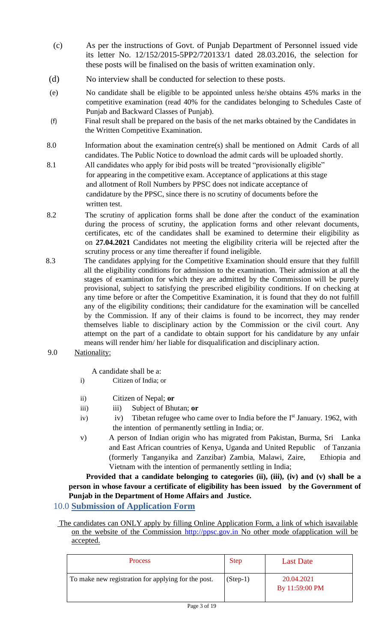- (c) As per the instructions of Govt. of Punjab Department of Personnel issued vide its letter No. 12/152/2015-5PP2/720133/1 dated 28.03.2016, the selection for these posts will be finalised on the basis of written examination only.
- (d) No interview shall be conducted for selection to these posts.
- (e) No candidate shall be eligible to be appointed unless he/she obtains 45% marks in the competitive examination (read 40% for the candidates belonging to Schedules Caste of Punjab and Backward Classes of Punjab).
- (f) Final result shall be prepared on the basis of the net marks obtained by the Candidates in the Written Competitive Examination.
- 8.0 Information about the examination centre(s) shall be mentioned on Admit Cards of all candidates. The Public Notice to download the admit cards will be uploaded shortly.
- 8.1 All candidates who apply for ibid posts will be treated "provisionally eligible" for appearing in the competitive exam. Acceptance of applications at this stage and allotment of Roll Numbers by PPSC does not indicate acceptance of candidature by the PPSC, since there is no scrutiny of documents before the written test.
- 8.2 The scrutiny of application forms shall be done after the conduct of the examination during the process of scrutiny, the application forms and other relevant documents, certificates, etc of the candidates shall be examined to determine their eligibility as on **27.04.2021** Candidates not meeting the eligibility criteria will be rejected after the scrutiny process or any time thereafter if found ineligible.
- 8.3 The candidates applying for the Competitive Examination should ensure that they fulfill all the eligibility conditions for admission to the examination. Their admission at all the stages of examination for which they are admitted by the Commission will be purely provisional, subject to satisfying the prescribed eligibility conditions. If on checking at any time before or after the Competitive Examination, it is found that they do not fulfill any of the eligibility conditions; their candidature for the examination will be cancelled by the Commission. If any of their claims is found to be incorrect, they may render themselves liable to disciplinary action by the Commission or the civil court. Any attempt on the part of a candidate to obtain support for his candidature by any unfair means will render him/ her liable for disqualification and disciplinary action.
- 9.0 Nationality:

A candidate shall be a:

- i) Citizen of India; or
- ii) Citizen of Nepal; **or**
- iii) Subject of Bhutan; or
- iv) iv) Tibetan refugee who came over to India before the  $I<sup>st</sup>$  January. 1962, with the intention of permanently settling in India; or.
- v) A person of Indian origin who has migrated from Pakistan, Burma, Sri Lanka and East African countries of Kenya, Uganda and United Republic of Tanzania (formerly Tanganyika and Zanzibar) Zambia, Malawi, Zaire, Ethiopia and Vietnam with the intention of permanently settling in India;

Provided that a candidate belonging to categories (ii), (iii), (iv) and (v) shall be a **person in whose favour a certificate of eligibility has been issued by the Government of Punjab in the Department of Home Affairs and Justice.** 

## 10.0 **Submission of Application Form**

The candidates can ONLY apply by filling Online Application Form, a link of which isavailable on the website of the Commission http://ppsc.gov.in No other mode ofapplication will be accepted.

| <b>Process</b>                                      | <b>Step</b> | <b>Last Date</b>             |
|-----------------------------------------------------|-------------|------------------------------|
| To make new registration for applying for the post. | $(Stop-1)$  | 20.04.2021<br>By 11:59:00 PM |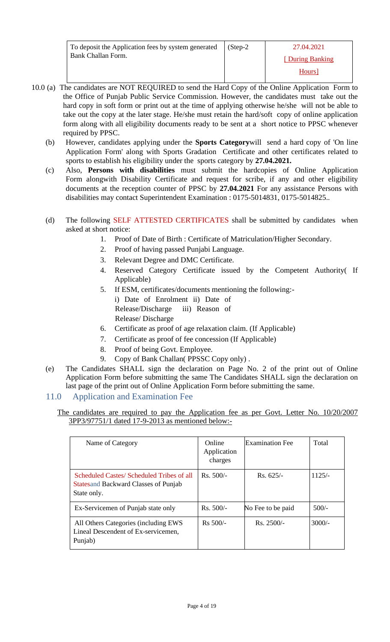| To deposit the Application fees by system generated | $(Step-2)$ | 27.04.2021         |
|-----------------------------------------------------|------------|--------------------|
| Bank Challan Form.                                  |            | [During Banking]   |
|                                                     |            | Hours <sup>1</sup> |

- 10.0 (a) The candidates are NOT REQUIRED to send the Hard Copy of the Online Application Form to the Office of Punjab Public Service Commission. However, the candidates must take out the hard copy in soft form or print out at the time of applying otherwise he/she will not be able to take out the copy at the later stage. He/she must retain the hard/soft copy of online application form along with all eligibility documents ready to be sent at a short notice to PPSC whenever required by PPSC.
	- (b) However, candidates applying under the **Sports Category**will send a hard copy of 'On line Application Form' along with Sports Gradation Certificate and other certificates related to sports to establish his eligibility under the sports category by **27.04.2021.**
	- (c) Also, **Persons with disabilities** must submit the hardcopies of Online Application Form alongwith Disability Certificate and request for scribe, if any and other eligibility documents at the reception counter of PPSC by **27.04.2021** For any assistance Persons with disabilities may contact Superintendent Examination : 0175-5014831, 0175-5014825..
	- (d) The following SELF ATTESTED CERTIFICATES shall be submitted by candidates when asked at short notice:
		- 1. Proof of Date of Birth : Certificate of Matriculation/Higher Secondary.
			- 2. Proof of having passed Punjabi Language.
			- 3. Relevant Degree and DMC Certificate.
			- 4. Reserved Category Certificate issued by the Competent Authority( If Applicable)
			- 5. If ESM, certificates/documents mentioning the following: i) Date of Enrolment ii) Date of Release/Discharge iii) Reason of Release/ Discharge
			- 6. Certificate as proof of age relaxation claim. (If Applicable)
			- 7. Certificate as proof of fee concession (If Applicable)
			- 8. Proof of being Govt. Employee.
		- 9. Copy of Bank Challan( PPSSC Copy only) .
	- (e) The Candidates SHALL sign the declaration on Page No. 2 of the print out of Online Application Form before submitting the same The Candidates SHALL sign the declaration on last page of the print out of Online Application Form before submitting the same.
	- 11.0 Application and Examination Fee

#### The candidates are required to pay the Application fee as per Govt. Letter No. 10/20/2007 3PP3/97751/1 dated 17-9-2013 as mentioned below:-

| Name of Category                                                                                        | Online<br>Application<br>charges | <b>Examination</b> Fee | Total    |
|---------------------------------------------------------------------------------------------------------|----------------------------------|------------------------|----------|
| Scheduled Castes/Scheduled Tribes of all<br><b>States and Backward Classes of Punjab</b><br>State only. | $Rs. 500/-$                      | $Rs. 625/-$            | $1125/-$ |
| Ex-Servicemen of Punjab state only                                                                      | $Rs. 500/-$                      | No Fee to be paid      | $500/-$  |
| All Others Categories (including EWS<br>Lineal Descendent of Ex-servicemen,<br>Punjab)                  | $Rs 500/-$                       | $Rs. 2500/-$           | $3000/-$ |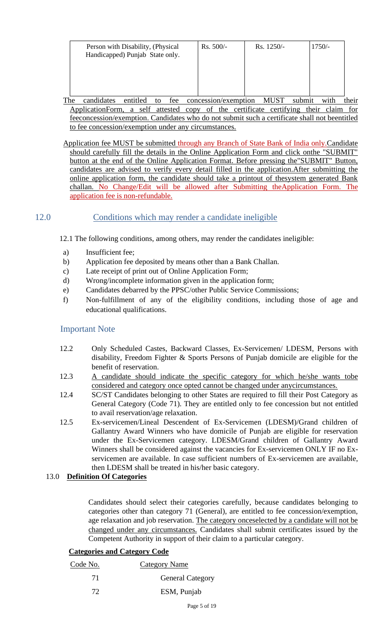| Person with Disability, (Physical<br>Handicapped) Punjab State only. | $Rs. 500/-$ | $Rs. 1250/-$ | $1750/-$ |
|----------------------------------------------------------------------|-------------|--------------|----------|
|                                                                      |             |              |          |

The candidates entitled to fee concession/exemption MUST submit with their ApplicationForm, a self attested copy of the certificate certifying their claim for feeconcession/exemption. Candidates who do not submit such a certificate shall not beentitled to fee concession/exemption under any circumstances.

Application fee MUST be submitted through any Branch of State Bank of India only.Candidate should carefully fill the details in the Online Application Form and click onthe "SUBMIT" button at the end of the Online Application Format. Before pressing the"SUBMIT" Button, candidates are advised to verify every detail filled in the application.After submitting the online application form, the candidate should take a printout of thesystem generated Bank challan. No Change/Edit will be allowed after Submitting theApplication Form. The application fee is non-refundable.

## 12.0 Conditions which may render a candidate ineligible

12.1 The following conditions, among others, may render the candidates ineligible:

- a) Insufficient fee;
- b) Application fee deposited by means other than a Bank Challan.
- c) Late receipt of print out of Online Application Form;
- d) Wrong/incomplete information given in the application form;
- e) Candidates debarred by the PPSC/other Public Service Commissions;
- f) Non-fulfillment of any of the eligibility conditions, including those of age and educational qualifications.

#### Important Note

- 12.2 Only Scheduled Castes, Backward Classes, Ex-Servicemen/ LDESM, Persons with disability, Freedom Fighter & Sports Persons of Punjab domicile are eligible for the benefit of reservation.
- 12.3 A candidate should indicate the specific category for which he/she wants tobe considered and category once opted cannot be changed under anycircumstances.
- 12.4 SC/ST Candidates belonging to other States are required to fill their Post Category as General Category (Code 71). They are entitled only to fee concession but not entitled to avail reservation/age relaxation.
- 12.5 Ex-servicemen/Lineal Descendent of Ex-Servicemen (LDESM)/Grand children of Gallantry Award Winners who have domicile of Punjab are eligible for reservation under the Ex-Servicemen category. LDESM/Grand children of Gallantry Award Winners shall be considered against the vacancies for Ex-servicemen ONLY IF no Exservicemen are available. In case sufficient numbers of Ex-servicemen are available, then LDESM shall be treated in his/her basic category.

#### 13.0 **Definition Of Categories**

Candidates should select their categories carefully, because candidates belonging to categories other than category 71 (General), are entitled to fee concession/exemption, age relaxation and job reservation. The category onceselected by a candidate will not be changed under any circumstances. Candidates shall submit certificates issued by the Competent Authority in support of their claim to a particular category.

#### **Categories and Category Code**

| Code No. | Category Name           |
|----------|-------------------------|
| 71       | <b>General Category</b> |
| 72       | ESM, Punjab             |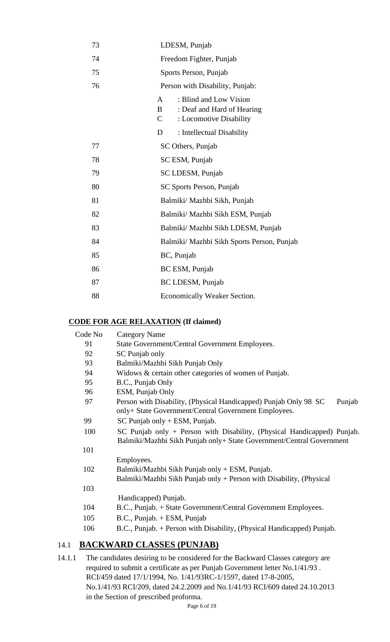| 73 | LDESM, Punjab                                                                                                                  |
|----|--------------------------------------------------------------------------------------------------------------------------------|
| 74 | Freedom Fighter, Punjab                                                                                                        |
| 75 | Sports Person, Punjab                                                                                                          |
| 76 | Person with Disability, Punjab:                                                                                                |
|    | : Blind and Low Vision<br>$\mathbf{A}$<br>$\mathbf{B}$<br>: Deaf and Hard of Hearing<br>$\mathbf C$<br>: Locomotive Disability |
|    | D<br>: Intellectual Disability                                                                                                 |
| 77 | SC Others, Punjab                                                                                                              |
| 78 | SC ESM, Punjab                                                                                                                 |
| 79 | SC LDESM, Punjab                                                                                                               |
| 80 | SC Sports Person, Punjab                                                                                                       |
| 81 | Balmiki/ Mazhbi Sikh, Punjab                                                                                                   |
| 82 | Balmiki/ Mazhbi Sikh ESM, Punjab                                                                                               |
| 83 | Balmiki/ Mazhbi Sikh LDESM, Punjab                                                                                             |
| 84 | Balmiki/ Mazhbi Sikh Sports Person, Punjab                                                                                     |
| 85 | BC, Punjab                                                                                                                     |
| 86 | BC ESM, Punjab                                                                                                                 |
| 87 | BC LDESM, Punjab                                                                                                               |
| 88 | Economically Weaker Section.                                                                                                   |

## **CODE FOR AGE RELAXATION (If claimed)**

| Code No | <b>Category Name</b>                                                                                                                            |
|---------|-------------------------------------------------------------------------------------------------------------------------------------------------|
| 91      | State Government/Central Government Employees.                                                                                                  |
| 92      | SC Punjab only                                                                                                                                  |
| 93      | Balmiki/Mazhbi Sikh Punjab Only                                                                                                                 |
| 94      | Widows & certain other categories of women of Punjab.                                                                                           |
| 95      | B.C., Punjab Only                                                                                                                               |
| 96      | ESM, Punjab Only                                                                                                                                |
| 97      | Person with Disability, (Physical Handicapped) Punjab Only 98 SC<br>Punjab<br>only+ State Government/Central Government Employees.              |
| 99      | $SC$ Punjab only + ESM, Punjab.                                                                                                                 |
| 100     | SC Punjab only + Person with Disability, (Physical Handicapped) Punjab.<br>Balmiki/Mazhbi Sikh Punjab only+ State Government/Central Government |
| 101     |                                                                                                                                                 |
|         | Employees.                                                                                                                                      |
| 102     | Balmiki/Mazhbi Sikh Punjab only + ESM, Punjab.                                                                                                  |
|         | Balmiki/Mazhbi Sikh Punjab only + Person with Disability, (Physical                                                                             |
| 103     |                                                                                                                                                 |
|         | Handicapped) Punjab.                                                                                                                            |
| 104     | B.C., Punjab. + State Government/Central Government Employees.                                                                                  |
| 105     | $B.C., Punjab. + ESM, Punjab$                                                                                                                   |
| 106     | B.C., Punjab. + Person with Disability, (Physical Handicapped) Punjab.                                                                          |
|         |                                                                                                                                                 |

## 14.1 **BACKWARD CLASSES (PUNJAB)**

14.1.1 The candidates desiring to be considered for the Backward Classes category are required to submit a certificate as per Punjab Government letter No.1/41/93 . RCI/459 dated 17/1/1994, No. 1/41/93RC-1/1597, dated 17-8-2005, No.1/41/93 RCI/209, dated 24.2.2009 and No.1/41/93 RCI/609 dated 24.10.2013 in the Section of prescribed proforma.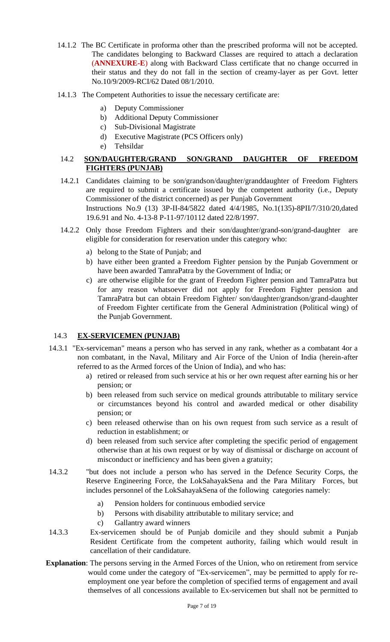- 14.1.2 The BC Certificate in proforma other than the prescribed proforma will not be accepted. The candidates belonging to Backward Classes are required to attach a declaration (**ANNEXURE-E**) along with Backward Class certificate that no change occurred in their status and they do not fall in the section of creamy-layer as per Govt. letter No.10/9/2009-RCI/62 Dated 08/1/2010.
- 14.1.3 The Competent Authorities to issue the necessary certificate are:
	- a) Deputy Commissioner
	- b) Additional Deputy Commissioner
	- c) Sub-Divisional Magistrate
	- d) Executive Magistrate (PCS Officers only)
	- e) Tehsildar

#### 14.2 **SON/DAUGHTER/GRAND SON/GRAND DAUGHTER OF FREEDOM FIGHTERS (PUNJAB)**

- 14.2.1 Candidates claiming to be son/grandson/daughter/granddaughter of Freedom Fighters are required to submit a certificate issued by the competent authority (i.e., Deputy Commissioner of the district concerned) as per Punjab Government Instructions No.9 (13) 3P-II-84/5822 dated 4/4/1985, No.1(135)-8PII/7/310/20,dated 19.6.91 and No. 4-13-8 P-11-97/10112 dated 22/8/1997.
- 14.2.2 Only those Freedom Fighters and their son/daughter/grand-son/grand-daughter are eligible for consideration for reservation under this category who:
	- a) belong to the State of Punjab; and
	- b) have either been granted a Freedom Fighter pension by the Punjab Government or have been awarded TamraPatra by the Government of India; or
	- c) are otherwise eligible for the grant of Freedom Fighter pension and TamraPatra but for any reason whatsoever did not apply for Freedom Fighter pension and TamraPatra but can obtain Freedom Fighter/ son/daughter/grandson/grand-daughter of Freedom Fighter certificate from the General Administration (Political wing) of the Punjab Government.

#### 14.3 **EX-SERVICEMEN (PUNJAB)**

- 14.3.1 "Ex-serviceman" means a person who has served in any rank, whether as a combatant 4or a non combatant, in the Naval, Military and Air Force of the Union of India (herein-after referred to as the Armed forces of the Union of India), and who has:
	- a) retired or released from such service at his or her own request after earning his or her pension; or
	- b) been released from such service on medical grounds attributable to military service or circumstances beyond his control and awarded medical or other disability pension; or
	- c) been released otherwise than on his own request from such service as a result of reduction in establishment; or
	- d) been released from such service after completing the specific period of engagement otherwise than at his own request or by way of dismissal or discharge on account of misconduct or inefficiency and has been given a gratuity;
- 14.3.2 "but does not include a person who has served in the Defence Security Corps, the Reserve Engineering Force, the LokSahayakSena and the Para Military Forces, but includes personnel of the LokSahayakSena of the following categories namely:
	- a) Pension holders for continuous embodied service
	- b) Persons with disability attributable to military service; and
	- c) Gallantry award winners
- 14.3.3 Ex-servicemen should be of Punjab domicile and they should submit a Punjab Resident Certificate from the competent authority, failing which would result in cancellation of their candidature.
- **Explanation**: The persons serving in the Armed Forces of the Union, who on retirement from service would come under the category of "Ex-servicemen", may be permitted to apply for reemployment one year before the completion of specified terms of engagement and avail themselves of all concessions available to Ex-servicemen but shall not be permitted to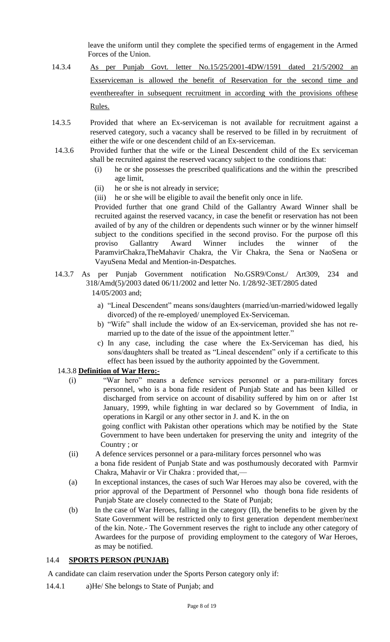leave the uniform until they complete the specified terms of engagement in the Armed Forces of the Union.

- 14.3.4 As per Punjab Govt. letter No.15/25/2001-4DW/1591 dated 21/5/2002 an Exserviceman is allowed the benefit of Reservation for the second time and eventhereafter in subsequent recruitment in according with the provisions ofthese Rules.
- 14.3.5 Provided that where an Ex-serviceman is not available for recruitment against a reserved category, such a vacancy shall be reserved to be filled in by recruitment of either the wife or one descendent child of an Ex-serviceman.
- 14.3.6 Provided further that the wife or the Lineal Descendent child of the Ex serviceman shall be recruited against the reserved vacancy subject to the conditions that:
	- (i) he or she possesses the prescribed qualifications and the within the prescribed age limit,
	- (ii) he or she is not already in service;
	- (iii) he or she will be eligible to avail the benefit only once in life.

Provided further that one grand Child of the Gallantry Award Winner shall be recruited against the reserved vacancy, in case the benefit or reservation has not been availed of by any of the children or dependents such winner or by the winner himself subject to the conditions specified in the second proviso. For the purpose ofl this proviso Gallantry Award Winner includes the winner of the ParamvirChakra,TheMahavir Chakra, the Vir Chakra, the Sena or NaoSena or VayuSena Medal and Mention-in-Despatches.

- 14.3.7 As per Punjab Government notification No.GSR9/Const./ Art309, 234 and 318/Amd(5)/2003 dated 06/11/2002 and letter No. 1/28/92-3ET/2805 dated 14/05/2003 and;
	- a) "Lineal Descendent" means sons/daughters (married/un-married/widowed legally divorced) of the re-employed/ unemployed Ex-Serviceman.
	- b) "Wife" shall include the widow of an Ex-serviceman, provided she has not remarried up to the date of the issue of the appointment letter."
	- c) In any case, including the case where the Ex-Serviceman has died, his sons/daughters shall be treated as "Lineal descendent" only if a certificate to this effect has been issued by the authority appointed by the Government.

#### 14.3.8 **Definition of War Hero:-**

- (i) "War hero" means a defence services personnel or a para-military forces personnel, who is a bona fide resident of Punjab State and has been killed or discharged from service on account of disability suffered by him on or after 1st January, 1999, while fighting in war declared so by Government of India, in operations in Kargil or any other sector in J. and K. in the on going conflict with Pakistan other operations which may be notified by the State Government to have been undertaken for preserving the unity and integrity of the Country ; or
- (ii) A defence services personnel or a para-military forces personnel who was a bona fide resident of Punjab State and was posthumously decorated with Parmvir Chakra, Mahavir or Vir Chakra : provided that,—
- (a) In exceptional instances, the cases of such War Heroes may also be covered, with the prior approval of the Department of Personnel who though bona fide residents of Punjab State are closely connected to the State of Punjab;
- (b) In the case of War Heroes, falling in the category (II), the benefits to be given by the State Government will be restricted only to first generation dependent member/next of the kin. Note.- The Government reserves the right to include any other category of Awardees for the purpose of providing employment to the category of War Heroes, as may be notified.

#### 14.4 **SPORTS PERSON (PUNJAB)**

A candidate can claim reservation under the Sports Person category only if:

14.4.1 a)He/ She belongs to State of Punjab; and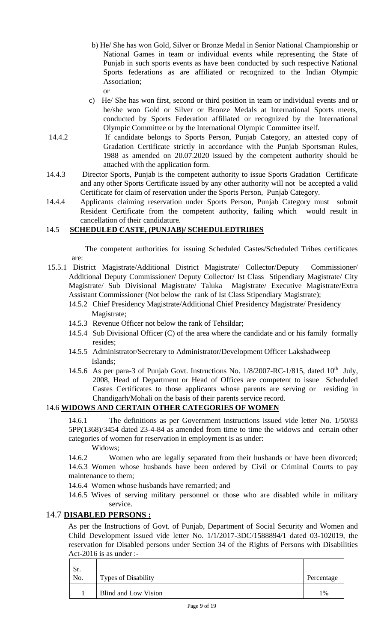- b) He/ She has won Gold, Silver or Bronze Medal in Senior National Championship or National Games in team or individual events while representing the State of Punjab in such sports events as have been conducted by such respective National Sports federations as are affiliated or recognized to the Indian Olympic Association;
- c) He/ She has won first, second or third position in team or individual events and or he/she won Gold or Silver or Bronze Medals at International Sports meets, conducted by Sports Federation affiliated or recognized by the International Olympic Committee or by the International Olympic Committee itself.
- 14.4.2 If candidate belongs to Sports Person, Punjab Category, an attested copy of Gradation Certificate strictly in accordance with the Punjab Sportsman Rules, 1988 as amended on 20.07.2020 issued by the competent authority should be attached with the application form.
- 14.4.3 Director Sports, Punjab is the competent authority to issue Sports Gradation Certificate and any other Sports Certificate issued by any other authority will not be accepted a valid Certificate for claim of reservation under the Sports Person, Punjab Category.
- 14.4.4 Applicants claiming reservation under Sports Person, Punjab Category must submit Resident Certificate from the competent authority, failing which would result in cancellation of their candidature.

## 14.5 **SCHEDULED CASTE, (PUNJAB)/ SCHEDULEDTRIBES**

The competent authorities for issuing Scheduled Castes/Scheduled Tribes certificates are:

- 15.5.1 District Magistrate/Additional District Magistrate/ Collector/Deputy Commissioner/ Additional Deputy Commissioner/ Deputy Collector/ Ist Class Stipendiary Magistrate/ City Magistrate/ Sub Divisional Magistrate/ Taluka Magistrate/ Executive Magistrate/Extra Assistant Commissioner (Not below the rank of Ist Class Stipendiary Magistrate);
	- 14.5.2 Chief Presidency Magistrate/Additional Chief Presidency Magistrate/ Presidency Magistrate;
	- 14.5.3 Revenue Officer not below the rank of Tehsildar;
	- 14.5.4 Sub Divisional Officer (C) of the area where the candidate and or his family formally resides;
	- 14.5.5 Administrator/Secretary to Administrator/Development Officer Lakshadweep Islands;
	- 14.5.6 As per para-3 of Punjab Govt. Instructions No. 1/8/2007-RC-1/815, dated 10<sup>th</sup> July, 2008, Head of Department or Head of Offices are competent to issue Scheduled Castes Certificates to those applicants whose parents are serving or residing in Chandigarh/Mohali on the basis of their parents service record.

## 14.6 **WIDOWS AND CERTAIN OTHER CATEGORIES OF WOMEN**

14.6.1 The definitions as per Government Instructions issued vide letter No. 1/50/83 5PP(1368)/3454 dated 23-4-84 as amended from time to time the widows and certain other categories of women for reservation in employment is as under:

Widows;

or

14.6.2 Women who are legally separated from their husbands or have been divorced; 14.6.3 Women whose husbands have been ordered by Civil or Criminal Courts to pay maintenance to them;

- 14.6.4 Women whose husbands have remarried; and
- 14.6.5 Wives of serving military personnel or those who are disabled while in military service.

## 14.7 **DISABLED PERSONS :**

As per the Instructions of Govt. of Punjab, Department of Social Security and Women and Child Development issued vide letter No. 1/1/2017-3DC/1588894/1 dated 03-102019, the reservation for Disabled persons under Section 34 of the Rights of Persons with Disabilities Act-2016 is as under :-

| Sr.<br>No. | <b>Types of Disability</b> | Percentage    |
|------------|----------------------------|---------------|
|            | Blind and Low Vision       | $\frac{0}{0}$ |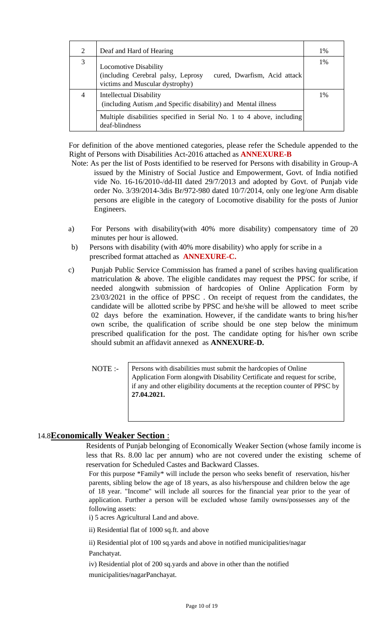| 2 | Deaf and Hard of Hearing                                                                                                              | 1% |  |  |  |  |
|---|---------------------------------------------------------------------------------------------------------------------------------------|----|--|--|--|--|
| 3 | <b>Locomotive Disability</b><br>(including Cerebral palsy, Leprosy<br>cured, Dwarfism, Acid attack<br>victims and Muscular dystrophy) | 1% |  |  |  |  |
| 4 | <b>Intellectual Disability</b><br>(including Autism, and Specific disability) and Mental illness                                      |    |  |  |  |  |
|   | Multiple disabilities specified in Serial No. 1 to 4 above, including<br>deaf-blindness                                               |    |  |  |  |  |

For definition of the above mentioned categories, please refer the Schedule appended to the Right of Persons with Disabilities Act-2016 attached as **ANNEXURE-B**

- Note: As per the list of Posts identified to be reserved for Persons with disability in Group-A issued by the Ministry of Social Justice and Empowerment, Govt. of India notified vide No. 16-16/2010-/dd-III dated 29/7/2013 and adopted by Govt. of Punjab vide order No. 3/39/2014-3dis Br/972-980 dated 10/7/2014, only one leg/one Arm disable persons are eligible in the category of Locomotive disability for the posts of Junior Engineers.
- a) For Persons with disability(with 40% more disability) compensatory time of 20 minutes per hour is allowed.
- b) Persons with disability (with 40% more disability) who apply for scribe in a prescribed format attached as **ANNEXURE-C.**
- c) Punjab Public Service Commission has framed a panel of scribes having qualification matriculation & above. The eligible candidates may request the PPSC for scribe, if needed alongwith submission of hardcopies of Online Application Form by 23/03/2021 in the office of PPSC . On receipt of request from the candidates, the candidate will be allotted scribe by PPSC and he/she will be allowed to meet scribe 02 days before the examination. However, if the candidate wants to bring his/her own scribe, the qualification of scribe should be one step below the minimum prescribed qualification for the post. The candidate opting for his/her own scribe should submit an affidavit annexed as **ANNEXURE-D.**

NOTE :-

Persons with disabilities must submit the hardcopies of Online Application Form alongwith Disability Certificate and request for scribe, if any and other eligibility documents at the reception counter of PPSC by **27.04.2021.**

## 14.8**Economically Weaker Section** :

Residents of Punjab belonging of Economically Weaker Section (whose family income is less that Rs. 8.00 lac per annum) who are not covered under the existing scheme of reservation for Scheduled Castes and Backward Classes.

For this purpose \*Family\* will include the person who seeks benefit of reservation, his/her parents, sibling below the age of 18 years, as also his/herspouse and children below the age of 18 year. "Income" will include all sources for the financial year prior to the year of application. Further a person will be excluded whose family owns/possesses any of the following assets:

i) 5 acres Agricultural Land and above.

ii) Residential flat of 1000 sq.ft. and above

ii) Residential plot of 100 sq.yards and above in notified municipalities/nagar Panchatyat.

iv) Residential plot of 200 sq.yards and above in other than the notified municipalities/nagarPanchayat.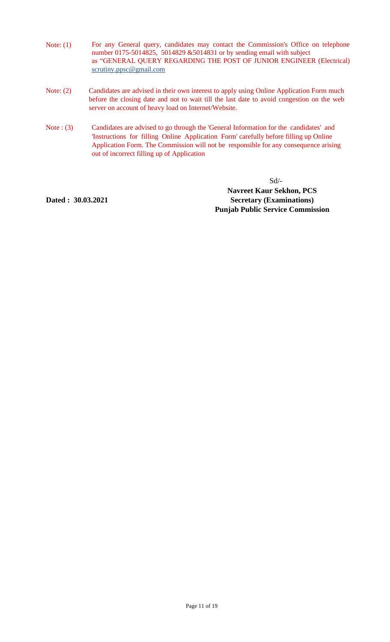- Note: (1) For any General query, candidates may contact the Commission's Office on telephone number 0175-5014825, 5014829 &5014831 or by sending email with subject as "GENERAL QUERY REGARDING THE POST OF JUNIOR ENGINEER (Electrical) scrutiny.ppsc@gmail.com
- Note: (2) Candidates are advised in their own interest to apply using Online Application Form much before the closing date and not to wait till the last date to avoid congestion on the web server on account of heavy load on Internet/Website.
- Note : (3) Candidates are advised to go through the 'General Information for the candidates' and 'Instructions for filling Online Application Form' carefully before filling up Online Application Form. The Commission will not be responsible for any consequence arising out of incorrect filling up of Application

Sd/-

**Dated : 30.03.2021**

**Navreet Kaur Sekhon, PCS Secretary (Examinations) Punjab Public Service Commission**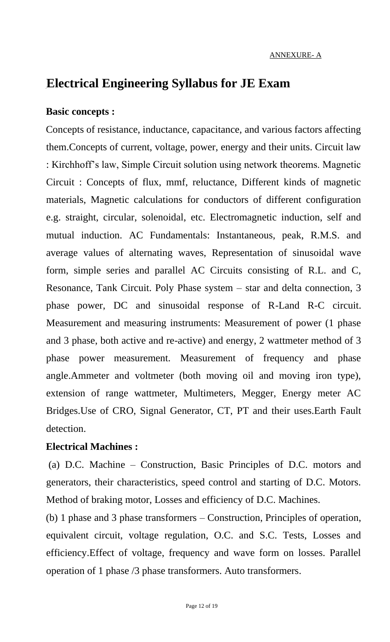# **Electrical Engineering Syllabus for JE Exam**

## **Basic concepts :**

Concepts of resistance, inductance, capacitance, and various factors affecting them.Concepts of current, voltage, power, energy and their units. Circuit law : Kirchhoff's law, Simple Circuit solution using network theorems. Magnetic Circuit : Concepts of flux, mmf, reluctance, Different kinds of magnetic materials, Magnetic calculations for conductors of different configuration e.g. straight, circular, solenoidal, etc. Electromagnetic induction, self and mutual induction. AC Fundamentals: Instantaneous, peak, R.M.S. and average values of alternating waves, Representation of sinusoidal wave form, simple series and parallel AC Circuits consisting of R.L. and C, Resonance, Tank Circuit. Poly Phase system – star and delta connection, 3 phase power, DC and sinusoidal response of R-Land R-C circuit. Measurement and measuring instruments: Measurement of power (1 phase and 3 phase, both active and re-active) and energy, 2 wattmeter method of 3 phase power measurement. Measurement of frequency and phase angle.Ammeter and voltmeter (both moving oil and moving iron type), extension of range wattmeter, Multimeters, Megger, Energy meter AC Bridges.Use of CRO, Signal Generator, CT, PT and their uses.Earth Fault detection.

## **Electrical Machines :**

(a) D.C. Machine – Construction, Basic Principles of D.C. motors and generators, their characteristics, speed control and starting of D.C. Motors. Method of braking motor, Losses and efficiency of D.C. Machines.

(b) 1 phase and 3 phase transformers – Construction, Principles of operation, equivalent circuit, voltage regulation, O.C. and S.C. Tests, Losses and efficiency.Effect of voltage, frequency and wave form on losses. Parallel operation of 1 phase /3 phase transformers. Auto transformers.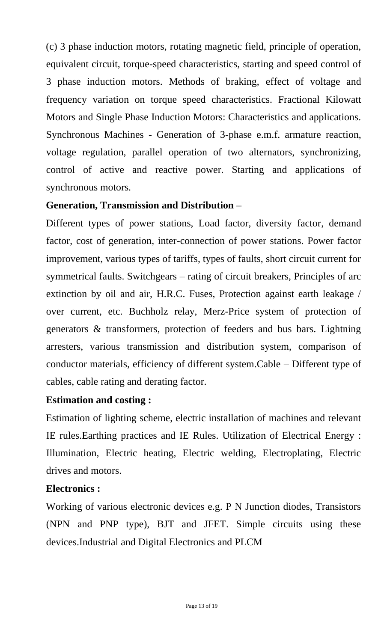(c) 3 phase induction motors, rotating magnetic field, principle of operation, equivalent circuit, torque-speed characteristics, starting and speed control of 3 phase induction motors. Methods of braking, effect of voltage and frequency variation on torque speed characteristics. Fractional Kilowatt Motors and Single Phase Induction Motors: Characteristics and applications. Synchronous Machines - Generation of 3-phase e.m.f. armature reaction, voltage regulation, parallel operation of two alternators, synchronizing, control of active and reactive power. Starting and applications of synchronous motors.

# **Generation, Transmission and Distribution –**

Different types of power stations, Load factor, diversity factor, demand factor, cost of generation, inter-connection of power stations. Power factor improvement, various types of tariffs, types of faults, short circuit current for symmetrical faults. Switchgears – rating of circuit breakers, Principles of arc extinction by oil and air, H.R.C. Fuses, Protection against earth leakage / over current, etc. Buchholz relay, Merz-Price system of protection of generators & transformers, protection of feeders and bus bars. Lightning arresters, various transmission and distribution system, comparison of conductor materials, efficiency of different system.Cable – Different type of cables, cable rating and derating factor.

# **Estimation and costing :**

Estimation of lighting scheme, electric installation of machines and relevant IE rules.Earthing practices and IE Rules. Utilization of Electrical Energy : Illumination, Electric heating, Electric welding, Electroplating, Electric drives and motors.

# **Electronics :**

Working of various electronic devices e.g. P N Junction diodes, Transistors (NPN and PNP type), BJT and JFET. Simple circuits using these devices.Industrial and Digital Electronics and PLCM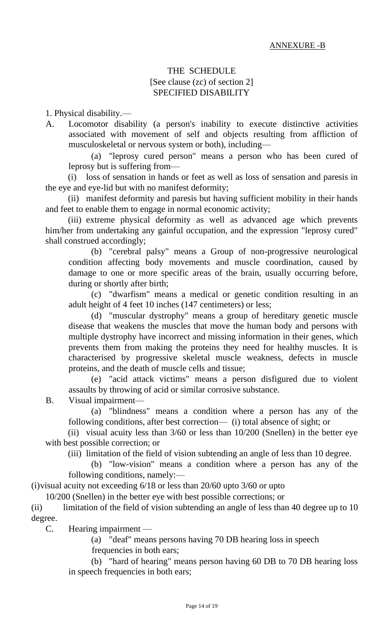## THE SCHEDULE [See clause (zc) of section 2] SPECIFIED DISABILITY

1. Physical disability.—

A. Locomotor disability (a person's inability to execute distinctive activities associated with movement of self and objects resulting from affliction of musculoskeletal or nervous system or both), including—

(a) "leprosy cured person" means a person who has been cured of leprosy but is suffering from—

(i) loss of sensation in hands or feet as well as loss of sensation and paresis in the eye and eye-lid but with no manifest deformity;

(ii) manifest deformity and paresis but having sufficient mobility in their hands and feet to enable them to engage in normal economic activity;

(iii) extreme physical deformity as well as advanced age which prevents him/her from undertaking any gainful occupation, and the expression "leprosy cured" shall construed accordingly;

(b) "cerebral palsy" means a Group of non-progressive neurological condition affecting body movements and muscle coordination, caused by damage to one or more specific areas of the brain, usually occurring before, during or shortly after birth;

(c) "dwarfism" means a medical or genetic condition resulting in an adult height of 4 feet 10 inches (147 centimeters) or less;

(d) "muscular dystrophy" means a group of hereditary genetic muscle disease that weakens the muscles that move the human body and persons with multiple dystrophy have incorrect and missing information in their genes, which prevents them from making the proteins they need for healthy muscles. It is characterised by progressive skeletal muscle weakness, defects in muscle proteins, and the death of muscle cells and tissue;

(e) "acid attack victims" means a person disfigured due to violent assaults by throwing of acid or similar corrosive substance.

B. Visual impairment—

(a) "blindness" means a condition where a person has any of the following conditions, after best correction— (i) total absence of sight; or

(ii) visual acuity less than 3/60 or less than 10/200 (Snellen) in the better eye with best possible correction; or

(iii) limitation of the field of vision subtending an angle of less than 10 degree.

(b) "low-vision" means a condition where a person has any of the following conditions, namely:—

(i)visual acuity not exceeding 6/18 or less than 20/60 upto 3/60 or upto

10/200 (Snellen) in the better eye with best possible corrections; or

(ii) limitation of the field of vision subtending an angle of less than 40 degree up to 10 degree.

C. Hearing impairment —

(a) "deaf" means persons having 70 DB hearing loss in speech frequencies in both ears;

(b) "hard of hearing" means person having 60 DB to 70 DB hearing loss in speech frequencies in both ears;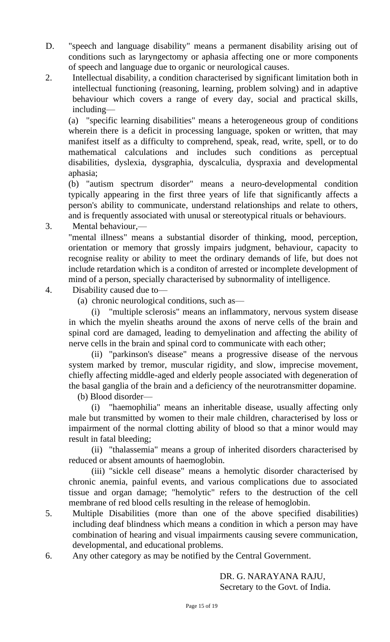- D. "speech and language disability" means a permanent disability arising out of conditions such as laryngectomy or aphasia affecting one or more components of speech and language due to organic or neurological causes.
- 2. Intellectual disability, a condition characterised by significant limitation both in intellectual functioning (reasoning, learning, problem solving) and in adaptive behaviour which covers a range of every day, social and practical skills, including—

(a) "specific learning disabilities" means a heterogeneous group of conditions wherein there is a deficit in processing language, spoken or written, that may manifest itself as a difficulty to comprehend, speak, read, write, spell, or to do mathematical calculations and includes such conditions as perceptual disabilities, dyslexia, dysgraphia, dyscalculia, dyspraxia and developmental aphasia;

(b) "autism spectrum disorder" means a neuro-developmental condition typically appearing in the first three years of life that significantly affects a person's ability to communicate, understand relationships and relate to others, and is frequently associated with unusal or stereotypical rituals or behaviours.

3. Mental behaviour,—

"mental illness" means a substantial disorder of thinking, mood, perception, orientation or memory that grossly impairs judgment, behaviour, capacity to recognise reality or ability to meet the ordinary demands of life, but does not include retardation which is a conditon of arrested or incomplete development of mind of a person, specially characterised by subnormality of intelligence.

- 4. Disability caused due to—
	- (a) chronic neurological conditions, such as—

(i) "multiple sclerosis" means an inflammatory, nervous system disease in which the myelin sheaths around the axons of nerve cells of the brain and spinal cord are damaged, leading to demyelination and affecting the ability of nerve cells in the brain and spinal cord to communicate with each other;

(ii) "parkinson's disease" means a progressive disease of the nervous system marked by tremor, muscular rigidity, and slow, imprecise movement, chiefly affecting middle-aged and elderly people associated with degeneration of the basal ganglia of the brain and a deficiency of the neurotransmitter dopamine.

(b) Blood disorder—

(i) "haemophilia" means an inheritable disease, usually affecting only male but transmitted by women to their male children, characterised by loss or impairment of the normal clotting ability of blood so that a minor would may result in fatal bleeding;

(ii) "thalassemia" means a group of inherited disorders characterised by reduced or absent amounts of haemoglobin.

(iii) "sickle cell disease" means a hemolytic disorder characterised by chronic anemia, painful events, and various complications due to associated tissue and organ damage; "hemolytic" refers to the destruction of the cell membrane of red blood cells resulting in the release of hemoglobin.

- 5. Multiple Disabilities (more than one of the above specified disabilities) including deaf blindness which means a condition in which a person may have combination of hearing and visual impairments causing severe communication, developmental, and educational problems.
- 6. Any other category as may be notified by the Central Government.

DR. G. NARAYANA RAJU, Secretary to the Govt. of India.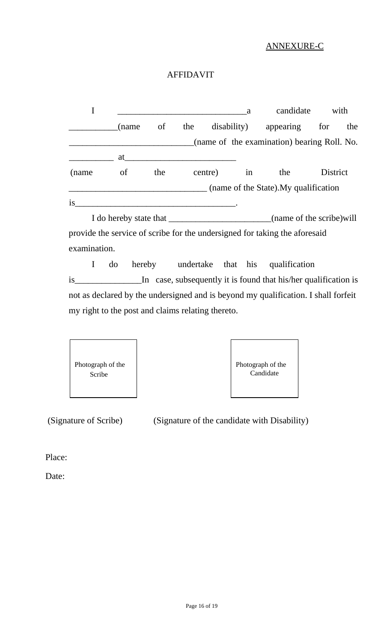## ANNEXURE-C

## AFFIDAVIT

|       |                        |     |                                             | a           | candidate | with                      |          |     |  |
|-------|------------------------|-----|---------------------------------------------|-------------|-----------|---------------------------|----------|-----|--|
|       | (name                  | of  | the                                         | disability) |           | appearing                 | for      | the |  |
|       |                        |     | (name of the examination) bearing Roll. No. |             |           |                           |          |     |  |
|       | at                     |     |                                             |             |           |                           |          |     |  |
| (name | of                     | the |                                             | centre)     |           | the                       | District |     |  |
|       |                        |     | (name of the State). My qualification       |             |           |                           |          |     |  |
| is    |                        |     |                                             |             |           |                           |          |     |  |
|       | I do hereby state that |     |                                             |             |           | (name of the scribe) will |          |     |  |

provide the service of scribe for the undersigned for taking the aforesaid examination.

I do hereby undertake that his qualification is\_\_\_\_\_\_\_\_\_\_\_\_\_\_\_In case, subsequently it is found that his/her qualification is not as declared by the undersigned and is beyond my qualification. I shall forfeit my right to the post and claims relating thereto.





(Signature of Scribe) (Signature of the candidate with Disability)

Place:

Date: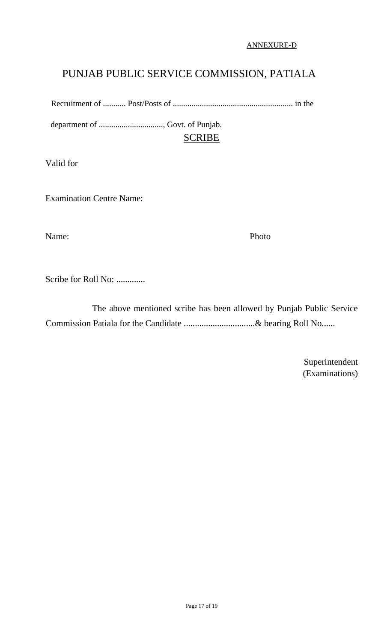#### ANNEXURE-D

# PUNJAB PUBLIC SERVICE COMMISSION, PATIALA

Recruitment of ........... Post/Posts of .......................................................... in the

department of ..............................., Govt. of Punjab. SCRIBE

Valid for

Examination Centre Name:

Name: Photo

Scribe for Roll No: .............

 The above mentioned scribe has been allowed by Punjab Public Service Commission Patiala for the Candidate ................................& bearing Roll No......

> Superintendent (Examinations)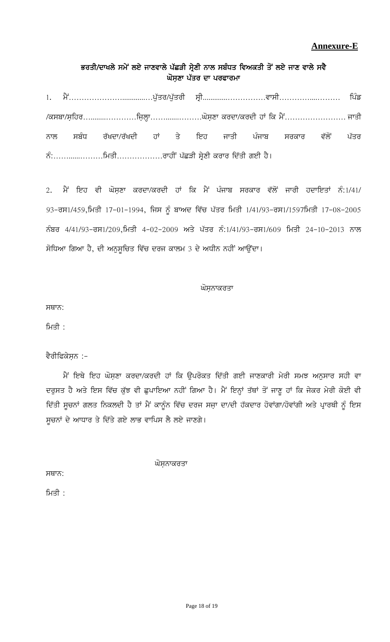## **Annexure-E**

## ਭਰਤੀ/ਦਾਖਲੇ ਸਮੇਂ ਲਏ ਜਾਣਵਾਲੇ ਪੱਛੜੀ ਸ੍ਰੇਣੀ ਨਾਲ ਸਬੰਧਤ ਵਿਅਕਤੀ ਤੋਂ ਲਏ ਜਾਣ ਵਾਲੇ ਸਵੈ ਘੋਸਣਾ ਪੱਤਰ ਦਾ ਪਰਫਾਰਮਾ

1H w?A…………………............…g[Zso\$g[Zsoh ;qh.............……………tk;h…………....……… fgzv \$e;pk\$;afjo…........…………fiabQk…….......………x';aDk eodk\$eodh jK fe w?A…………………… iksh ਨਾਲ ਸਬੰਧ ਰੱਖਦਾ/ਰੱਖਦੀ ਹਾਂ ਤੇ ਇਹ ਜਾਤੀ ਪੰਜਾਬ ਸਰਕਾਰ ਵੱਲੋਂ ਪੱਤਰ BzL……......………fwsh………………okjhA gZSVh ;qa/Dh eoko fdZsh rJh j?.

2. ਮੈਂ ਇਹ ਵੀ ਘੋਸ਼ਣਾ ਕਰਦਾ/ਕਰਦੀ ਹਾਂ ਕਿ ਮੈਂ ਪੰਜਾਬ ਸਰਕਾਰ ਵੱਲੋਂ ਜਾਰੀ ਹਦਾਇਤਾਂ ਨੰ:1/41/  $93$ –ਰਸ1/459,ਮਿਤੀ 17-01-1994, ਜਿਸ ਨੂੰ ਬਾਅਦ ਵਿੱਚ ਪੱਤਰ ਮਿਤੀ 1/41/93–ਰਸ1/1597ਮਿਤੀ 17-08-2005 ਨੰਬਰ 4/41/93-ਰਸ1/209,ਮਿਤੀ 4-02-2009 ਅਤੇ ਪੱਤਰ ਨੰ:1/41/93-ਰਸ1/609 ਮਿਤੀ 24-10-2013 ਨਾਲ ਸੋਧਿਆ ਗਿਆ ਹੈ, ਦੀ ਅਨੁਸੁਚਿਤ ਵਿੱਚ ਦਰਜ ਕਾਲਮ 3 ਦੇ ਅਧੀਨ ਨਹੀਂ ਆਉਂਦਾ।

#### ਘੋਸਨਾਕਰਤਾ

ਸਥਾਨ:

ਮਿਤੀ $\pm$ 

#### ਵੈਰੀਫਿਕੇਸ਼ਨ :-

ਮੈਂ ਇਥੇ ਇਹ ਘੋਸ਼ਣਾ ਕਰਦਾ/ਕਰਦੀ ਹਾਂ ਕਿ ਉਪਰੋਕਤ ਦਿੱਤੀ ਗਈ ਜਾਣਕਾਰੀ ਮੇਰੀ ਸਮਝ ਅਨੁਸਾਰ ਸਹੀ ਵਾ ਦਰੁਸਤ ਹੈ ਅਤੇ ਇਸ ਵਿੱਚ ਕੁੱਝ ਵੀ ਛੁਪਾਇਆ ਨਹੀਂ ਗਿਆ ਹੈ। ਮੈਂ ਇਨ੍ਹਾਂ ਤੱਥਾਂ ਤੋਂ ਜਾਣੂ ਹਾਂ ਕਿ ਜੇਕਰ ਮੇਰੀ ਕੋਈ ਵੀ ਦਿੱਤੀ ਸੂਚਨਾਂ ਗਲਤ ਨਿਕਲਦੀ ਹੈ ਤਾਂ ਮੈਂ ਕਾਨੂੰਨ ਵਿੱਚ ਦਰਜ ਸਜ਼ਾ ਦਾ/ਦੀ ਹੱਕਦਾਰ ਹੋਵਾਂਗਾ/ਹੋਵਾਂਗੀ ਅਤੇ ਪ੍ਰਾਰਥੀ ਨੂੰ ਇਸ ਸੁਚਨਾਂ ਦੇ ਆਧਾਰ ਤੇ ਦਿੱਤੇ ਗਏ ਲਾਭ ਵਾਪਿਸ ਲੈ ਲਏ ਜਾਣਗੇ।

ਘੋਸ਼ਨਾਕਰਤਾ

 $HH<sub>7</sub>$ :

ਮਿਤੀ $:$